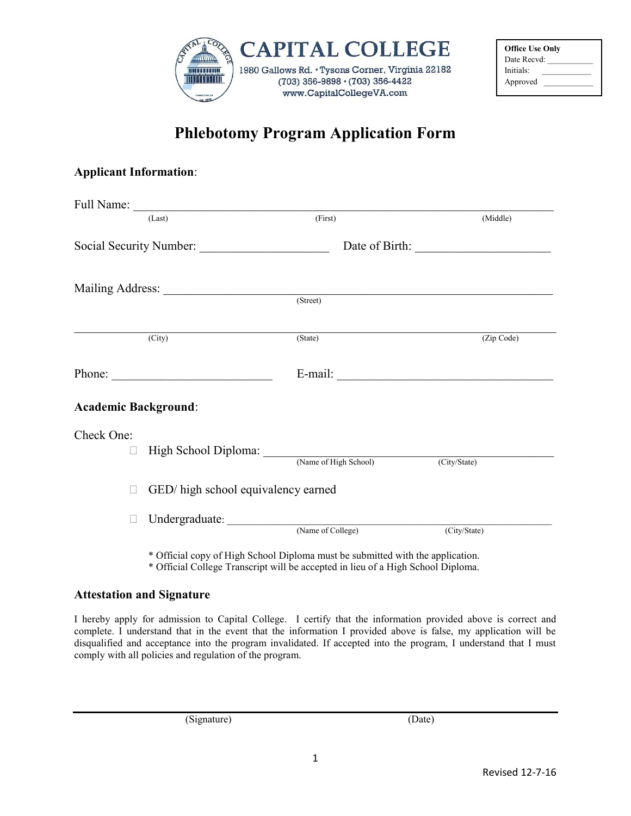

| <b>Office Use Only</b>  |
|-------------------------|
| Date Recyd <sup>1</sup> |
| Initials:               |
| Approved                |

## **Phlebotomy Program Application Form**

## **Applicant Information**:

|                             | (Last)                                               | (First) | (Middle)                |
|-----------------------------|------------------------------------------------------|---------|-------------------------|
| Social Security Number:     |                                                      |         |                         |
|                             | Mailing Address: (Street)                            |         |                         |
|                             |                                                      |         |                         |
|                             | $\overline{(City)}$                                  | (State) | (Zip Code)              |
|                             |                                                      |         | E-mail: $\qquad \qquad$ |
| <b>Academic Background:</b> |                                                      |         |                         |
| Check One:                  | High School Diploma: (Name of High School) (City/Sta |         |                         |
| П                           | GED/ high school equivalency earned                  |         | (City/State)            |
|                             |                                                      |         |                         |

\* Official copy of High School Diploma must be submitted with the application.

\* Official College Transcript will be accepted in lieu of a High School Diploma.

## **Attestation and Signature**

I hereby apply for admission to Capital College. I certify that the information provided above is correct and complete. I understand that in the event that the information I provided above is false, my application will be disqualified and acceptance into the program invalidated. If accepted into the program, I understand that I must comply with all policies and regulation of the program.

(Signature) (Date)